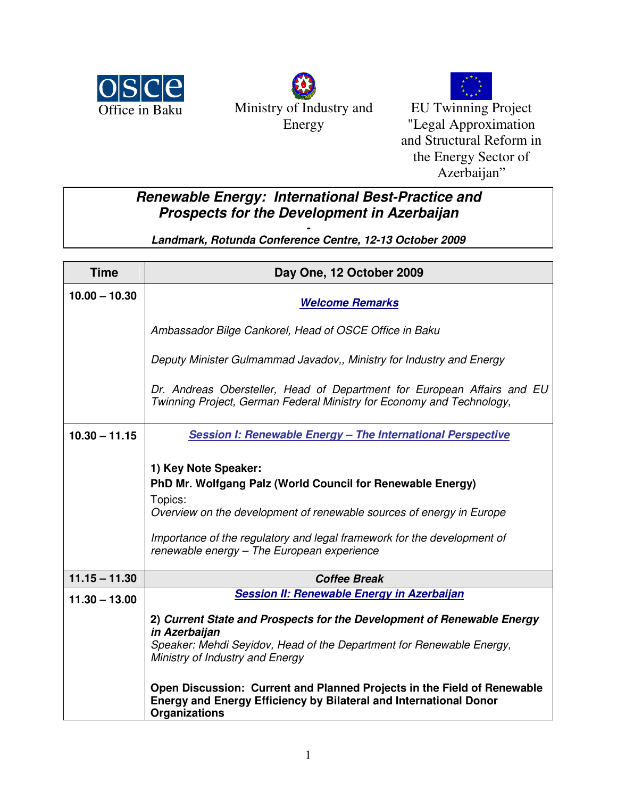





EU Twinning Project "Legal Approximation and Structural Reform in the Energy Sector of Azerbaijan"

## **Renewable Energy: International Best-Practice and Prospects for the Development in Azerbaijan**

**- Landmark, Rotunda Conference Centre, 12-13 October 2009** 

| <b>Time</b>     | Day One, 12 October 2009                                                                                                                                                                                                                                                                                                                                                                         |
|-----------------|--------------------------------------------------------------------------------------------------------------------------------------------------------------------------------------------------------------------------------------------------------------------------------------------------------------------------------------------------------------------------------------------------|
| $10.00 - 10.30$ | <b>Welcome Remarks</b>                                                                                                                                                                                                                                                                                                                                                                           |
|                 | Ambassador Bilge Cankorel, Head of OSCE Office in Baku                                                                                                                                                                                                                                                                                                                                           |
|                 | Deputy Minister Gulmammad Javadov,, Ministry for Industry and Energy                                                                                                                                                                                                                                                                                                                             |
|                 | Dr. Andreas Obersteller, Head of Department for European Affairs and EU<br>Twinning Project, German Federal Ministry for Economy and Technology,                                                                                                                                                                                                                                                 |
| $10.30 - 11.15$ | Session I: Renewable Energy - The International Perspective                                                                                                                                                                                                                                                                                                                                      |
|                 | 1) Key Note Speaker:<br>PhD Mr. Wolfgang Palz (World Council for Renewable Energy)<br>Topics:<br>Overview on the development of renewable sources of energy in Europe<br>Importance of the regulatory and legal framework for the development of<br>renewable energy - The European experience                                                                                                   |
| $11.15 - 11.30$ | <b>Coffee Break</b>                                                                                                                                                                                                                                                                                                                                                                              |
| $11.30 - 13.00$ | Session II: Renewable Energy in Azerbaijan<br>2) Current State and Prospects for the Development of Renewable Energy<br>in Azerbaijan<br>Speaker: Mehdi Seyidov, Head of the Department for Renewable Energy,<br>Ministry of Industry and Energy<br>Open Discussion: Current and Planned Projects in the Field of Renewable<br>Energy and Energy Efficiency by Bilateral and International Donor |
|                 | Organizations                                                                                                                                                                                                                                                                                                                                                                                    |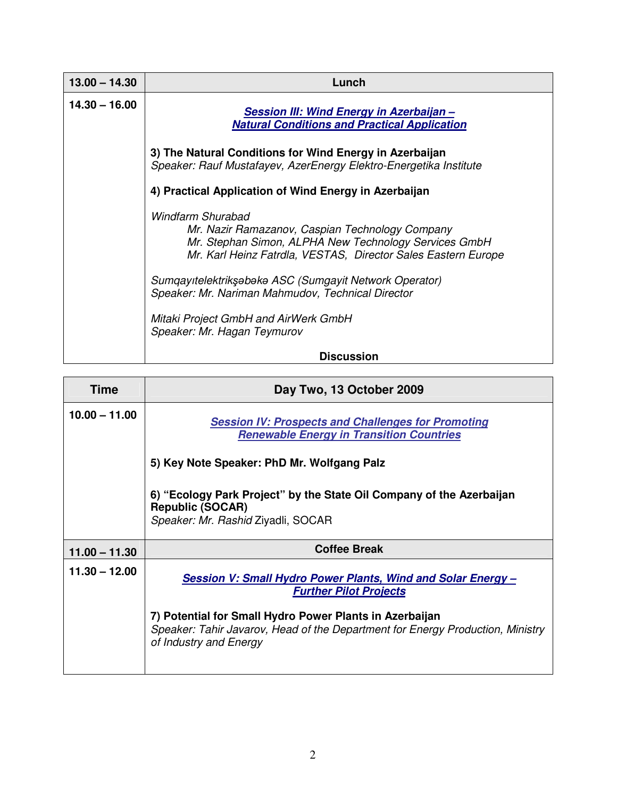| $13.00 - 14.30$ | Lunch                                                                                                                                                                                          |
|-----------------|------------------------------------------------------------------------------------------------------------------------------------------------------------------------------------------------|
| $14.30 - 16.00$ | Session III: Wind Energy in Azerbaijan -<br><b>Natural Conditions and Practical Application</b>                                                                                                |
|                 | 3) The Natural Conditions for Wind Energy in Azerbaijan<br>Speaker: Rauf Mustafayev, AzerEnergy Elektro-Energetika Institute                                                                   |
|                 | 4) Practical Application of Wind Energy in Azerbaijan                                                                                                                                          |
|                 | Windfarm Shurabad<br>Mr. Nazir Ramazanov, Caspian Technology Company<br>Mr. Stephan Simon, ALPHA New Technology Services GmbH<br>Mr. Karl Heinz Fatrdla, VESTAS, Director Sales Eastern Europe |
|                 | Sumgayıtelektrikşəbəkə ASC (Sumgayit Network Operator)<br>Speaker: Mr. Nariman Mahmudov, Technical Director                                                                                    |
|                 | Mitaki Project GmbH and AirWerk GmbH<br>Speaker: Mr. Hagan Teymurov                                                                                                                            |
|                 | <b>Discussion</b>                                                                                                                                                                              |

| Time            | Day Two, 13 October 2009                                                                                                                                            |
|-----------------|---------------------------------------------------------------------------------------------------------------------------------------------------------------------|
| $10.00 - 11.00$ | <b>Session IV: Prospects and Challenges for Promoting</b><br><b>Renewable Energy in Transition Countries</b>                                                        |
|                 | 5) Key Note Speaker: PhD Mr. Wolfgang Palz                                                                                                                          |
|                 | 6) "Ecology Park Project" by the State Oil Company of the Azerbaijan<br><b>Republic (SOCAR)</b><br>Speaker: Mr. Rashid Ziyadli, SOCAR                               |
| $11.00 - 11.30$ | <b>Coffee Break</b>                                                                                                                                                 |
| $11.30 - 12.00$ | Session V: Small Hydro Power Plants, Wind and Solar Energy -<br><b>Further Pilot Projects</b>                                                                       |
|                 | 7) Potential for Small Hydro Power Plants in Azerbaijan<br>Speaker: Tahir Javarov, Head of the Department for Energy Production, Ministry<br>of Industry and Energy |